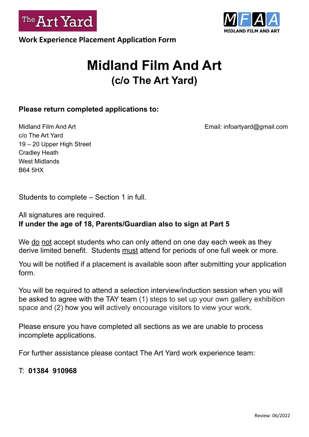



# **Midland Film And Art (c/o The Art Yard)**

#### **Please return completed applications to:**

c/o The Art Yard 19 – 20 Upper High Street Cradley Heath West Midlands B64 5HX

Midland Film And Art **Email:** infoartyard@gmail.com

Students to complete – Section 1 in full.

#### All signatures are required. **If under the age of 18, Parents/Guardian also to sign at Part 5**

We do not accept students who can only attend on one day each week as they derive limited benefit. Students must attend for periods of one full week or more.

You will be notified if a placement is available soon after submitting your application form.

You will be required to attend a selection interview/induction session when you will be asked to agree with the TAY team (1) steps to set up your own gallery exhibition space and (2) how you will actively encourage visitors to view your work.

Please ensure you have completed all sections as we are unable to process incomplete applications.

For further assistance please contact The Art Yard work experience team:

### T: **01384 910968**

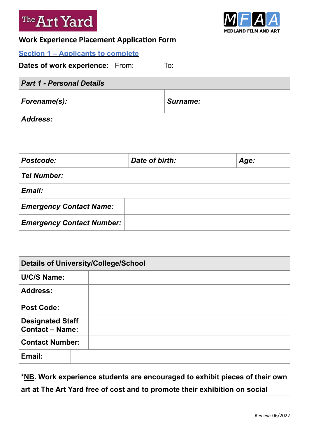



## **Work Experience Placement Application Form**

#### **Section 1 – Applicants to complete**

**Dates of work experience:** From: To:

| <b>Part 1 - Personal Details</b> |  |                |          |  |      |  |  |  |
|----------------------------------|--|----------------|----------|--|------|--|--|--|
| Forename(s):                     |  |                | Surname: |  |      |  |  |  |
| <b>Address:</b>                  |  |                |          |  |      |  |  |  |
| Postcode:                        |  | Date of birth: |          |  | Age: |  |  |  |
| <b>Tel Number:</b>               |  |                |          |  |      |  |  |  |
| Email:                           |  |                |          |  |      |  |  |  |
| <b>Emergency Contact Name:</b>   |  |                |          |  |      |  |  |  |
| <b>Emergency Contact Number:</b> |  |                |          |  |      |  |  |  |

| <b>Details of University/College/School</b>       |  |  |  |  |
|---------------------------------------------------|--|--|--|--|
| <b>U/C/S Name:</b>                                |  |  |  |  |
| <b>Address:</b>                                   |  |  |  |  |
| <b>Post Code:</b>                                 |  |  |  |  |
| <b>Designated Staff</b><br><b>Contact - Name:</b> |  |  |  |  |
| <b>Contact Number:</b>                            |  |  |  |  |
| Email:                                            |  |  |  |  |

**\*NB. Work experience students are encouraged to exhibit pieces of their own art at The Art Yard free of cost and to promote their exhibition on social**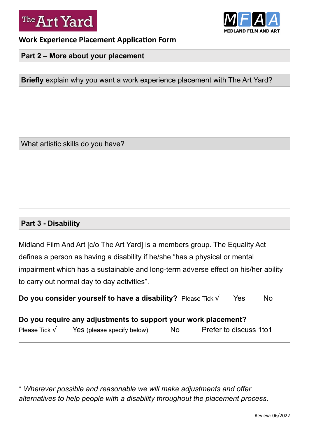



#### **Work Experience Placement Application Form**

#### **Part 2 – More about your placement**

**Briefly** explain why you want a work experience placement with The Art Yard?

What artistic skills do you have?

#### **Part 3 - Disability**

Midland Film And Art [c/o The Art Yard] is a members group. The Equality Act defines a person as having a disability if he/she "has a physical or mental impairment which has a sustainable and long-term adverse effect on his/her ability to carry out normal day to day activities".

**Do you consider yourself to have a disability?** Please Tick √ Yes No

**Do you require any adjustments to support your work placement?**  Please Tick  $\sqrt{ }$  Yes (please specify below) No Prefer to discuss 1to 1

\* *Wherever possible and reasonable we will make adjustments and offer alternatives to help people with a disability throughout the placement process*.